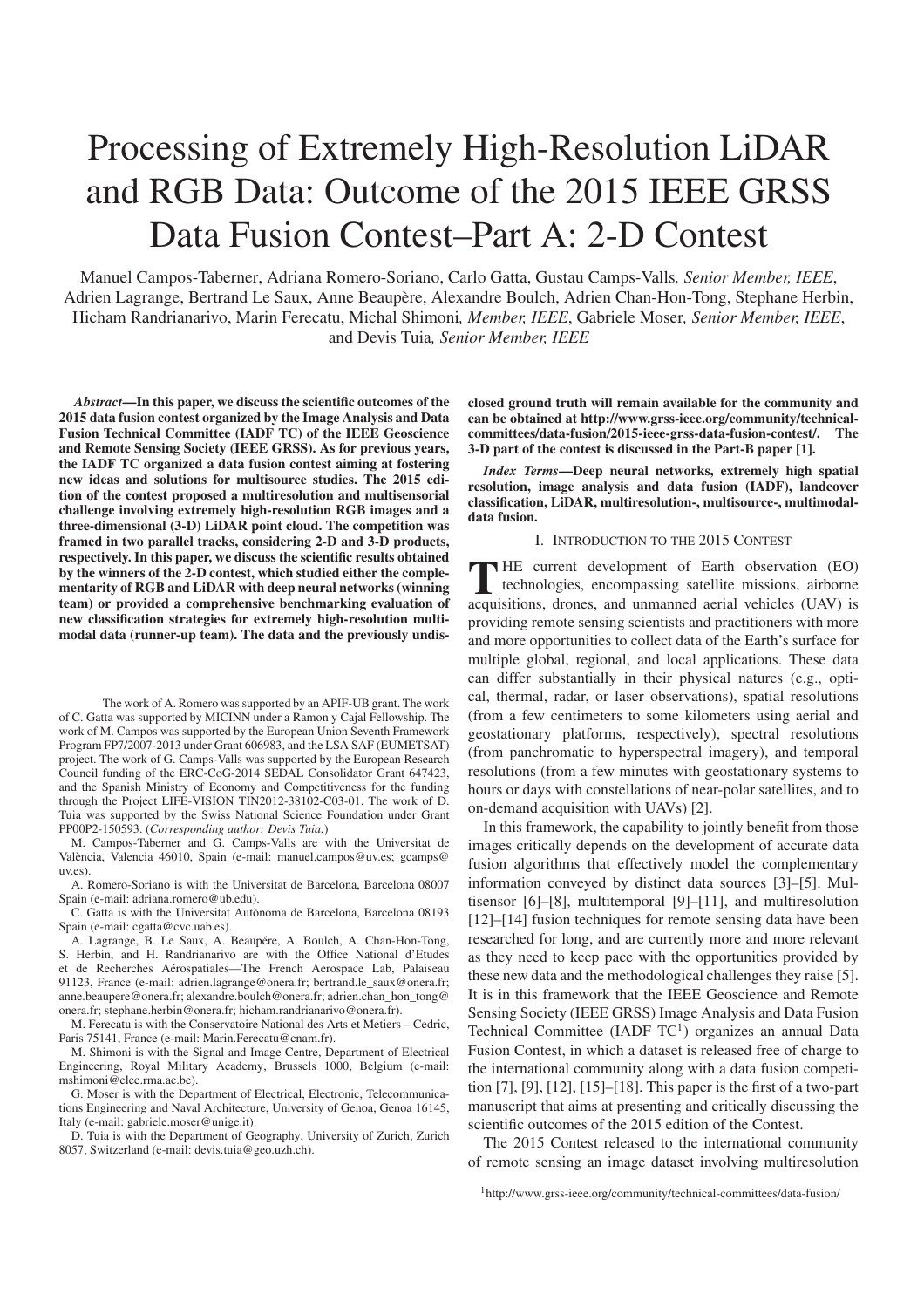## Processing of Extremely High-Resolution LiDAR and RGB Data: Outcome of the 2015 IEEE GRSS Data Fusion Contest–Part A: 2-D Contest

Manuel Campos-Taberner, Adriana Romero-Soriano, Carlo Gatta, Gustau Camps-Valls*, Senior Member, IEEE*, Adrien Lagrange, Bertrand Le Saux, Anne Beaupère, Alexandre Boulch, Adrien Chan-Hon-Tong, Stephane Herbin, Hicham Randrianarivo, Marin Ferecatu, Michal Shimoni*, Member, IEEE*, Gabriele Moser*, Senior Member, IEEE*, and Devis Tuia*, Senior Member, IEEE*

*Abstract***—In this paper, we discuss the scientific outcomes of the 2015 data fusion contest organized by the Image Analysis and Data Fusion Technical Committee (IADF TC) of the IEEE Geoscience and Remote Sensing Society (IEEE GRSS). As for previous years, the IADF TC organized a data fusion contest aiming at fostering new ideas and solutions for multisource studies. The 2015 edition of the contest proposed a multiresolution and multisensorial challenge involving extremely high-resolution RGB images and a three-dimensional (3-D) LiDAR point cloud. The competition was framed in two parallel tracks, considering 2-D and 3-D products, respectively. In this paper, we discuss the scientific results obtained by the winners of the 2-D contest, which studied either the complementarity of RGB and LiDAR with deep neural networks (winning team) or provided a comprehensive benchmarking evaluation of new classification strategies for extremely high-resolution multimodal data (runner-up team). The data and the previously undis-**

The work of A. Romero was supported by an APIF-UB grant. The work of C. Gatta was supported by MICINN under a Ramon y Cajal Fellowship. The work of M. Campos was supported by the European Union Seventh Framework Program FP7/2007-2013 under Grant 606983, and the LSA SAF (EUMETSAT) project. The work of G. Camps-Valls was supported by the European Research Council funding of the ERC-CoG-2014 SEDAL Consolidator Grant 647423, and the Spanish Ministry of Economy and Competitiveness for the funding through the Project LIFE-VISION TIN2012-38102-C03-01. The work of D. Tuia was supported by the Swiss National Science Foundation under Grant PP00P2-150593. (*Corresponding author: Devis Tuia.*)

M. Campos-Taberner and G. Camps-Valls are with the Universitat de Valencia, Valencia 46010, Spain (e-mail: manuel.campos@uv.es; gcamps@ ` uv.es).

A. Romero-Soriano is with the Universitat de Barcelona, Barcelona 08007 Spain (e-mail: adriana.romero@ub.edu).

C. Gatta is with the Universitat Autònoma de Barcelona, Barcelona 08193 Spain (e-mail: cgatta@cvc.uab.es).

A. Lagrange, B. Le Saux, A. Beaupére, A. Boulch, A. Chan-Hon-Tong, S. Herbin, and H. Randrianarivo are with the Office National d'Etudes et de Recherches Aerospatiales—The French Aerospace Lab, Palaiseau ´ 91123, France (e-mail: adrien.lagrange@onera.fr; bertrand.le\_saux@onera.fr; anne.beaupere@onera.fr; alexandre.boulch@onera.fr; adrien.chan\_hon\_tong@ onera.fr; stephane.herbin@onera.fr; hicham.randrianarivo@onera.fr).

M. Ferecatu is with the Conservatoire National des Arts et Metiers – Cedric, Paris 75141, France (e-mail: Marin.Ferecatu@cnam.fr).

M. Shimoni is with the Signal and Image Centre, Department of Electrical Engineering, Royal Military Academy, Brussels 1000, Belgium (e-mail: mshimoni@elec.rma.ac.be).

G. Moser is with the Department of Electrical, Electronic, Telecommunications Engineering and Naval Architecture, University of Genoa, Genoa 16145, Italy (e-mail: gabriele.moser@unige.it).

D. Tuia is with the Department of Geography, University of Zurich, Zurich 8057, Switzerland (e-mail: devis.tuia@geo.uzh.ch).

**closed ground truth will remain available for the community and can be obtained at http://www.grss-ieee.org/community/technicalcommittees/data-fusion/2015-ieee-grss-data-fusion-contest/. The 3-D part of the contest is discussed in the Part-B paper [1].**

*Index Terms***—Deep neural networks, extremely high spatial resolution, image analysis and data fusion (IADF), landcover classification, LiDAR, multiresolution-, multisource-, multimodaldata fusion.**

## I. INTRODUCTION TO THE 2015 CONTEST

**THE** current development of Earth observation (EO) technologies, encompassing satellite missions, airborne acquisitions, drones, and unmanned aerial vehicles (UAV) is HE current development of Earth observation (EO) technologies, encompassing satellite missions, airborne providing remote sensing scientists and practitioners with more and more opportunities to collect data of the Earth's surface for multiple global, regional, and local applications. These data can differ substantially in their physical natures (e.g., optical, thermal, radar, or laser observations), spatial resolutions (from a few centimeters to some kilometers using aerial and geostationary platforms, respectively), spectral resolutions (from panchromatic to hyperspectral imagery), and temporal resolutions (from a few minutes with geostationary systems to hours or days with constellations of near-polar satellites, and to on-demand acquisition with UAVs) [2].

In this framework, the capability to jointly benefit from those images critically depends on the development of accurate data fusion algorithms that effectively model the complementary information conveyed by distinct data sources [3]–[5]. Multisensor [6]–[8], multitemporal [9]–[11], and multiresolution [12]–[14] fusion techniques for remote sensing data have been researched for long, and are currently more and more relevant as they need to keep pace with the opportunities provided by these new data and the methodological challenges they raise [5]. It is in this framework that the IEEE Geoscience and Remote Sensing Society (IEEE GRSS) Image Analysis and Data Fusion Technical Committee (IADF  $TC<sup>1</sup>$ ) organizes an annual Data Fusion Contest, in which a dataset is released free of charge to the international community along with a data fusion competition [7], [9], [12], [15]–[18]. This paper is the first of a two-part manuscript that aims at presenting and critically discussing the scientific outcomes of the 2015 edition of the Contest.

The 2015 Contest released to the international community of remote sensing an image dataset involving multiresolution

<sup>1</sup>http://www.grss-ieee.org/community/technical-committees/data-fusion/